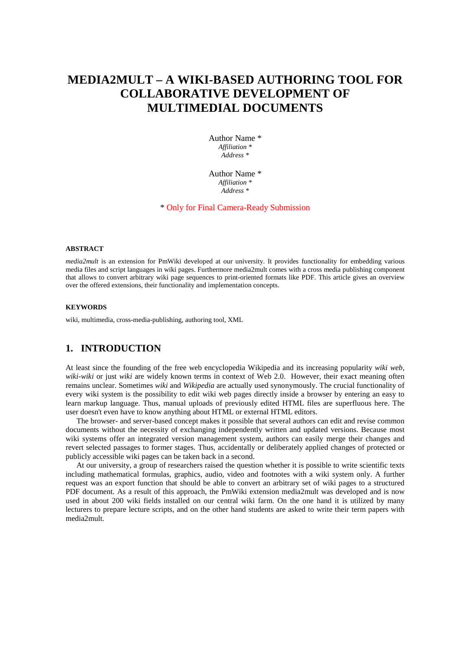# **MEDIA2MULT – A WIKI-BASED AUTHORING TOOL FOR COLLABORATIVE DEVELOPMENT OF MULTIMEDIAL DOCUMENTS**

Author Name \* *Affiliation \* Address \** 

Author Name \* *Affiliation \* Address \** 

\* Only for Final Camera-Ready Submission

#### **ABSTRACT**

*media2mult* is an extension for PmWiki developed at our university. It provides functionality for embedding various media files and script languages in wiki pages. Furthermore media2mult comes with a cross media publishing component that allows to convert arbitrary wiki page sequences to print-oriented formats like PDF. This article gives an overview over the offered extensions, their functionality and implementation concepts.

#### **KEYWORDS**

wiki, multimedia, cross-media-publishing, authoring tool, XML

### **1. INTRODUCTION**

At least since the founding of the free web encyclopedia Wikipedia and its increasing popularity *wiki web*, *wiki-wiki* or just *wiki* are widely known terms in context of Web 2.0. However, their exact meaning often remains unclear. Sometimes *wiki* and *Wikipedia* are actually used synonymously. The crucial functionality of every wiki system is the possibility to edit wiki web pages directly inside a browser by entering an easy to learn markup language. Thus, manual uploads of previously edited HTML files are superfluous here. The user doesn't even have to know anything about HTML or external HTML editors.

The browser- and server-based concept makes it possible that several authors can edit and revise common documents without the necessity of exchanging independently written and updated versions. Because most wiki systems offer an integrated version management system, authors can easily merge their changes and revert selected passages to former stages. Thus, accidentally or deliberately applied changes of protected or publicly accessible wiki pages can be taken back in a second.

At our university, a group of researchers raised the question whether it is possible to write scientific texts including mathematical formulas, graphics, audio, video and footnotes with a wiki system only. A further request was an export function that should be able to convert an arbitrary set of wiki pages to a structured PDF document. As a result of this approach, the PmWiki extension media2mult was developed and is now used in about 200 wiki fields installed on our central wiki farm. On the one hand it is utilized by many lecturers to prepare lecture scripts, and on the other hand students are asked to write their term papers with media2mult.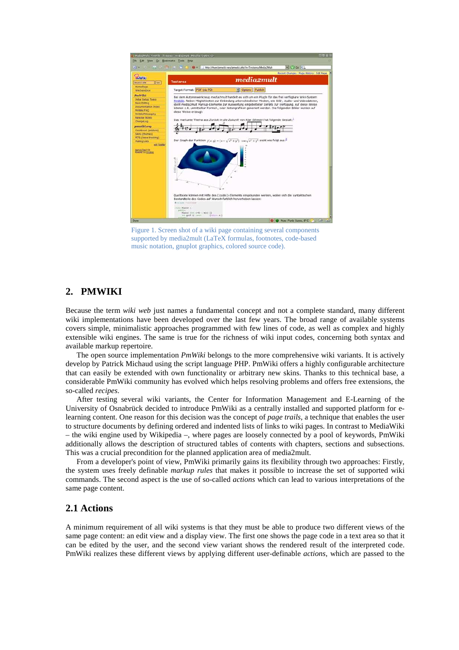

Figure 1. Screen shot of a wiki page containing several components supported by media2mult (LaTeX formulas, footnotes, code-based music notation, gnuplot graphics, colored source code).

### **2. PMWIKI**

Because the term *wiki web* just names a fundamental concept and not a complete standard, many different wiki implementations have been developed over the last few years. The broad range of available systems covers simple, minimalistic approaches programmed with few lines of code, as well as complex and highly extensible wiki engines. The same is true for the richness of wiki input codes, concerning both syntax and available markup repertoire.

The open source implementation *PmWiki* belongs to the more comprehensive wiki variants. It is actively develop by Patrick Michaud using the script language PHP. PmWiki offers a highly configurable architecture that can easily be extended with own functionality or arbitrary new skins. Thanks to this technical base, a considerable PmWiki community has evolved which helps resolving problems and offers free extensions, the so-called *recipes*.

After testing several wiki variants, the Center for Information Management and E-Learning of the University of Osnabrück decided to introduce PmWiki as a centrally installed and supported platform for elearning content. One reason for this decision was the concept of *page trails*, a technique that enables the user to structure documents by defining ordered and indented lists of links to wiki pages. In contrast to MediaWiki – the wiki engine used by Wikipedia –, where pages are loosely connected by a pool of keywords, PmWiki additionally allows the description of structured tables of contents with chapters, sections and subsections. This was a crucial precondition for the planned application area of media2mult.

From a developer's point of view, PmWiki primarily gains its flexibility through two approaches: Firstly, the system uses freely definable *markup rules* that makes it possible to increase the set of supported wiki commands. The second aspect is the use of so-called *actions* which can lead to various interpretations of the same page content.

#### **2.1 Actions**

A minimum requirement of all wiki systems is that they must be able to produce two different views of the same page content: an edit view and a display view. The first one shows the page code in a text area so that it can be edited by the user, and the second view variant shows the rendered result of the interpreted code. PmWiki realizes these different views by applying different user-definable *actions*, which are passed to the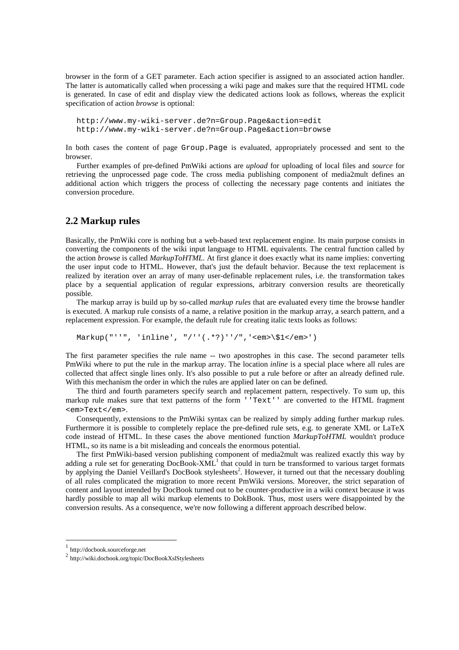browser in the form of a GET parameter. Each action specifier is assigned to an associated action handler. The latter is automatically called when processing a wiki page and makes sure that the required HTML code is generated. In case of edit and display view the dedicated actions look as follows, whereas the explicit specification of action *browse* is optional:

http://www.my-wiki-server.de?n=Group.Page&action=edit http://www.my-wiki-server.de?n=Group.Page&action=browse

In both cases the content of page Group.Page is evaluated, appropriately processed and sent to the browser.

Further examples of pre-defined PmWiki actions are *upload* for uploading of local files and *source* for retrieving the unprocessed page code. The cross media publishing component of media2mult defines an additional action which triggers the process of collecting the necessary page contents and initiates the conversion procedure.

#### **2.2 Markup rules**

Basically, the PmWiki core is nothing but a web-based text replacement engine. Its main purpose consists in converting the components of the wiki input language to HTML equivalents. The central function called by the action *browse* is called *MarkupToHTML*. At first glance it does exactly what its name implies: converting the user input code to HTML. However, that's just the default behavior. Because the text replacement is realized by iteration over an array of many user-definable replacement rules, i.e. the transformation takes place by a sequential application of regular expressions, arbitrary conversion results are theoretically possible.

The markup array is build up by so-called *markup rules* that are evaluated every time the browse handler is executed. A markup rule consists of a name, a relative position in the markup array, a search pattern, and a replacement expression. For example, the default rule for creating italic texts looks as follows:

Markup("''", 'inline', "/''(.\*?)''/",'<em>\\$1</em>')

The first parameter specifies the rule name -- two apostrophes in this case. The second parameter tells PmWiki where to put the rule in the markup array. The location *inline* is a special place where all rules are collected that affect single lines only. It's also possible to put a rule before or after an already defined rule. With this mechanism the order in which the rules are applied later on can be defined.

The third and fourth parameters specify search and replacement pattern, respectively. To sum up, this markup rule makes sure that text patterns of the form ''Text'' are converted to the HTML fragment <em>Text</em>.

Consequently, extensions to the PmWiki syntax can be realized by simply adding further markup rules. Furthermore it is possible to completely replace the pre-defined rule sets, e.g. to generate XML or LaTeX code instead of HTML. In these cases the above mentioned function *MarkupToHTML* wouldn't produce HTML, so its name is a bit misleading and conceals the enormous potential.

The first PmWiki-based version publishing component of media2mult was realized exactly this way by adding a rule set for generating  $DocBook-XML<sup>1</sup>$  that could in turn be transformed to various target formats by applying the Daniel Veillard's DocBook stylesheets<sup>2</sup>. However, it turned out that the necessary doubling of all rules complicated the migration to more recent PmWiki versions. Moreover, the strict separation of content and layout intended by DocBook turned out to be counter-productive in a wiki context because it was hardly possible to map all wiki markup elements to DokBook. Thus, most users were disappointed by the conversion results. As a consequence, we're now following a different approach described below.

 $\overline{a}$ 

<sup>1</sup> http://docbook.sourceforge.net

<sup>2</sup> http://wiki.docbook.org/topic/DocBookXslStylesheets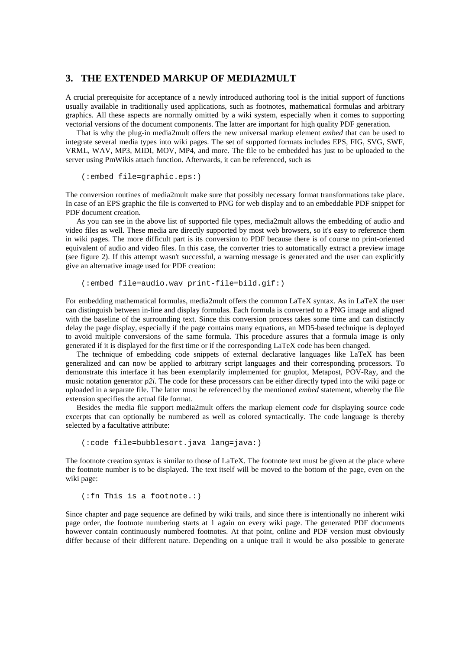#### **3. THE EXTENDED MARKUP OF MEDIA2MULT**

A crucial prerequisite for acceptance of a newly introduced authoring tool is the initial support of functions usually available in traditionally used applications, such as footnotes, mathematical formulas and arbitrary graphics. All these aspects are normally omitted by a wiki system, especially when it comes to supporting vectorial versions of the document components. The latter are important for high quality PDF generation.

That is why the plug-in media2mult offers the new universal markup element *embed* that can be used to integrate several media types into wiki pages. The set of supported formats includes EPS, FIG, SVG, SWF, VRML, WAV, MP3, MIDI, MOV, MP4, and more. The file to be embedded has just to be uploaded to the server using PmWikis attach function. Afterwards, it can be referenced, such as

(:embed file=graphic.eps:)

The conversion routines of media2mult make sure that possibly necessary format transformations take place. In case of an EPS graphic the file is converted to PNG for web display and to an embeddable PDF snippet for PDF document creation.

As you can see in the above list of supported file types, media2mult allows the embedding of audio and video files as well. These media are directly supported by most web browsers, so it's easy to reference them in wiki pages. The more difficult part is its conversion to PDF because there is of course no print-oriented equivalent of audio and video files. In this case, the converter tries to automatically extract a preview image (see figure 2). If this attempt wasn't successful, a warning message is generated and the user can explicitly give an alternative image used for PDF creation:

(:embed file=audio.wav print-file=bild.gif:)

For embedding mathematical formulas, media2mult offers the common LaTeX syntax. As in LaTeX the user can distinguish between in-line and display formulas. Each formula is converted to a PNG image and aligned with the baseline of the surrounding text. Since this conversion process takes some time and can distinctly delay the page display, especially if the page contains many equations, an MD5-based technique is deployed to avoid multiple conversions of the same formula. This procedure assures that a formula image is only generated if it is displayed for the first time or if the corresponding LaTeX code has been changed.

The technique of embedding code snippets of external declarative languages like LaTeX has been generalized and can now be applied to arbitrary script languages and their corresponding processors. To demonstrate this interface it has been exemplarily implemented for gnuplot, Metapost, POV-Ray, and the music notation generator *p2i*. The code for these processors can be either directly typed into the wiki page or uploaded in a separate file. The latter must be referenced by the mentioned *embed* statement, whereby the file extension specifies the actual file format.

Besides the media file support media2mult offers the markup element *code* for displaying source code excerpts that can optionally be numbered as well as colored syntactically. The code language is thereby selected by a facultative attribute:

```
 (:code file=bubblesort.java lang=java:)
```
The footnote creation syntax is similar to those of LaTeX. The footnote text must be given at the place where the footnote number is to be displayed. The text itself will be moved to the bottom of the page, even on the wiki page:

(:fn This is a footnote.:)

Since chapter and page sequence are defined by wiki trails, and since there is intentionally no inherent wiki page order, the footnote numbering starts at 1 again on every wiki page. The generated PDF documents however contain continuously numbered footnotes. At that point, online and PDF version must obviously differ because of their different nature. Depending on a unique trail it would be also possible to generate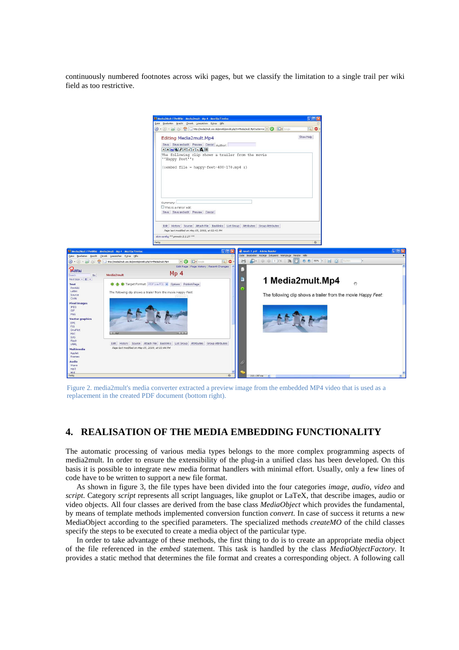continuously numbered footnotes across wiki pages, but we classify the limitation to a single trail per wiki field as too restrictive.



Figure 2. media2mult's media converter extracted a preview image from the embedded MP4 video that is used as a replacement in the created PDF document (bottom right).

### **4. REALISATION OF THE MEDIA EMBEDDING FUNCTIONALITY**

The automatic processing of various media types belongs to the more complex programming aspects of media2mult. In order to ensure the extensibility of the plug-in a unified class has been developed. On this basis it is possible to integrate new media format handlers with minimal effort. Usually, only a few lines of code have to be written to support a new file format.

As shown in figure 3, the file types have been divided into the four categories *image*, *audio*, *video* and *script*. Category *script* represents all script languages, like gnuplot or LaTeX, that describe images, audio or video objects. All four classes are derived from the base class *MediaObject* which provides the fundamental, by means of template methods implemented conversion function *convert*. In case of success it returns a new MediaObject according to the specified parameters. The specialized methods *createMO* of the child classes specify the steps to be executed to create a media object of the particular type.

In order to take advantage of these methods, the first thing to do is to create an appropriate media object of the file referenced in the *embed* statement. This task is handled by the class *MediaObjectFactory*. It provides a static method that determines the file format and creates a corresponding object. A following call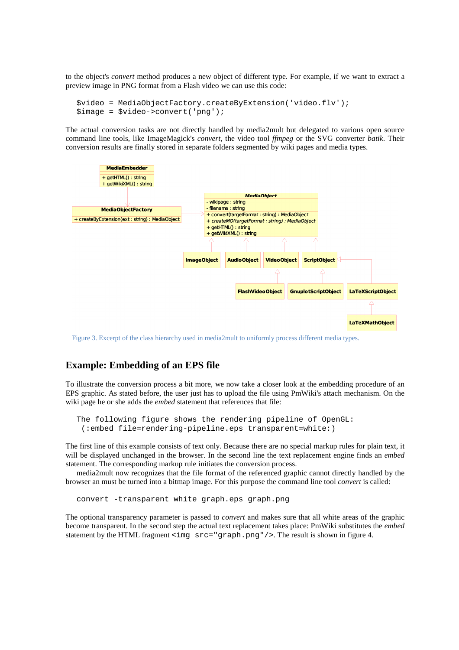to the object's *convert* method produces a new object of different type. For example, if we want to extract a preview image in PNG format from a Flash video we can use this code:

```
$video = MediaObjectFactory.createByExtension('video.flv'); 
$image = $video->convert('png');
```
The actual conversion tasks are not directly handled by media2mult but delegated to various open source command line tools, like ImageMagick's *convert*, the video tool *ffmpeg* or the SVG converter *batik*. Their conversion results are finally stored in separate folders segmented by wiki pages and media types.



Figure 3. Excerpt of the class hierarchy used in media2mult to uniformly process different media types.

### **Example: Embedding of an EPS file**

To illustrate the conversion process a bit more, we now take a closer look at the embedding procedure of an EPS graphic. As stated before, the user just has to upload the file using PmWiki's attach mechanism. On the wiki page he or she adds the *embed* statement that references that file:

```
The following figure shows the rendering pipeline of OpenGL: 
  (:embed file=rendering-pipeline.eps transparent=white:)
```
The first line of this example consists of text only. Because there are no special markup rules for plain text, it will be displayed unchanged in the browser. In the second line the text replacement engine finds an *embed* statement. The corresponding markup rule initiates the conversion process.

media2mult now recognizes that the file format of the referenced graphic cannot directly handled by the browser an must be turned into a bitmap image. For this purpose the command line tool *convert* is called:

convert -transparent white graph.eps graph.png

The optional transparency parameter is passed to *convert* and makes sure that all white areas of the graphic become transparent. In the second step the actual text replacement takes place: PmWiki substitutes the *embed* statement by the HTML fragment  $\langle \text{img } \text{src} = \text{``graph.png'}, \text{png}$  " $\rangle$  >. The result is shown in figure 4.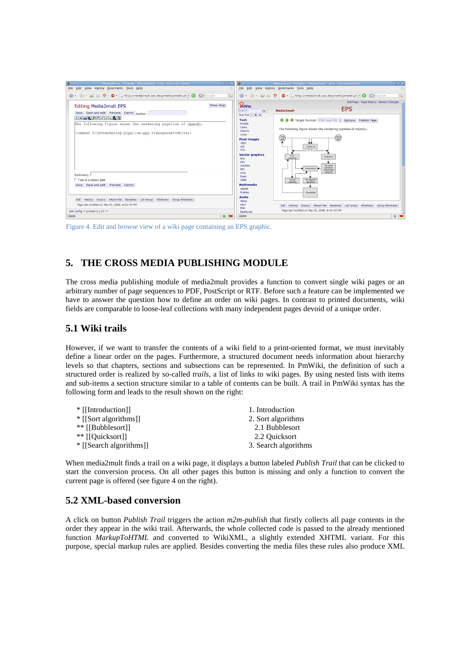

Figure 4. Edit and browse view of a wiki page containing an EPS graphic.

# **5. THE CROSS MEDIA PUBLISHING MODULE**

The cross media publishing module of media2mult provides a function to convert single wiki pages or an arbitrary number of page sequences to PDF, PostScript or RTF. Before such a feature can be implemented we have to answer the question how to define an order on wiki pages. In contrast to printed documents, wiki fields are comparable to loose-leaf collections with many independent pages devoid of a unique order.

### **5.1 Wiki trails**

However, if we want to transfer the contents of a wiki field to a print-oriented format, we must inevitably define a linear order on the pages. Furthermore, a structured document needs information about hierarchy levels so that chapters, sections and subsections can be represented. In PmWiki, the definition of such a structured order is realized by so-called *trails*, a list of links to wiki pages. By using nested lists with items and sub-items a section structure similar to a table of contents can be built. A trail in PmWiki syntax has the following form and leads to the result shown on the right:

| * [[Introduction]]                | 1. Introduction      |
|-----------------------------------|----------------------|
| $\frac{*}{s}$ [[Sort algorithms]] | 2. Sort algorithms   |
| ** [[Bubblesort]]                 | 2.1 Bubblesort       |
| ** [[Quicksort]]                  | 2.2 Ouicksort        |
| * [[Search algorithms]]           | 3. Search algorithms |

When media2mult finds a trail on a wiki page, it displays a button labeled *Publish Trail* that can be clicked to start the conversion process. On all other pages this button is missing and only a function to convert the current page is offered (see figure 4 on the right).

## **5.2 XML-based conversion**

A click on button *Publish Trail* triggers the action *m2m-publish* that firstly collects all page contents in the order they appear in the wiki trail. Afterwards, the whole collected code is passed to the already mentioned function *MarkupToHTML* and converted to WikiXML, a slightly extended XHTML variant. For this purpose, special markup rules are applied. Besides converting the media files these rules also produce XML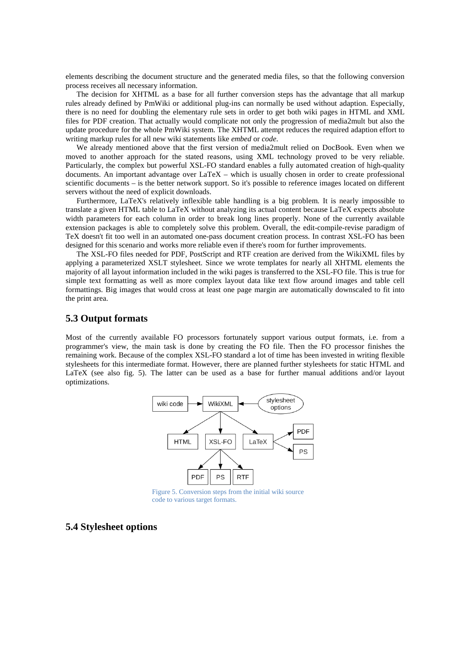elements describing the document structure and the generated media files, so that the following conversion process receives all necessary information.

The decision for XHTML as a base for all further conversion steps has the advantage that all markup rules already defined by PmWiki or additional plug-ins can normally be used without adaption. Especially, there is no need for doubling the elementary rule sets in order to get both wiki pages in HTML and XML files for PDF creation. That actually would complicate not only the progression of media2mult but also the update procedure for the whole PmWiki system. The XHTML attempt reduces the required adaption effort to writing markup rules for all new wiki statements like *embed* or *code*.

We already mentioned above that the first version of media2mult relied on DocBook. Even when we moved to another approach for the stated reasons, using XML technology proved to be very reliable. Particularly, the complex but powerful XSL-FO standard enables a fully automated creation of high-quality documents. An important advantage over LaTeX – which is usually chosen in order to create professional scientific documents – is the better network support. So it's possible to reference images located on different servers without the need of explicit downloads.

Furthermore, LaTeX's relatively inflexible table handling is a big problem. It is nearly impossible to translate a given HTML table to LaTeX without analyzing its actual content because LaTeX expects absolute width parameters for each column in order to break long lines properly. None of the currently available extension packages is able to completely solve this problem. Overall, the edit-compile-revise paradigm of TeX doesn't fit too well in an automated one-pass document creation process. In contrast XSL-FO has been designed for this scenario and works more reliable even if there's room for further improvements.

The XSL-FO files needed for PDF, PostScript and RTF creation are derived from the WikiXML files by applying a parameterized XSLT stylesheet. Since we wrote templates for nearly all XHTML elements the majority of all layout information included in the wiki pages is transferred to the XSL-FO file. This is true for simple text formatting as well as more complex layout data like text flow around images and table cell formattings. Big images that would cross at least one page margin are automatically downscaled to fit into the print area.

#### **5.3 Output formats**

Most of the currently available FO processors fortunately support various output formats, i.e. from a programmer's view, the main task is done by creating the FO file. Then the FO processor finishes the remaining work. Because of the complex XSL-FO standard a lot of time has been invested in writing flexible stylesheets for this intermediate format. However, there are planned further stylesheets for static HTML and LaTeX (see also fig. 5). The latter can be used as a base for further manual additions and/or layout optimizations.



Figure 5. Conversion steps from the initial wiki source code to various target formats.

#### **5.4 Stylesheet options**